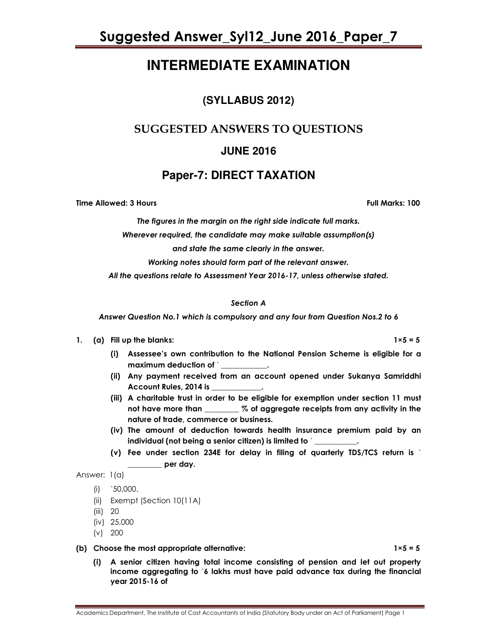# **INTERMEDIATE EXAMINATION**

# **(SYLLABUS 2012)**

# SUGGESTED ANSWERS TO QUESTIONS

# **JUNE 2016**

# **Paper-7: DIRECT TAXATION**

Time Allowed: 3 Hours Full Marks: 100

The figures in the margin on the right side indicate full marks.

Wherever required, the candidate may make suitable assumption(s)

and state the same clearly in the answer.

Working notes should form part of the relevant answer.

All the questions relate to Assessment Year 2016-17, unless otherwise stated.

# Section A

Answer Question No.1 which is compulsory and any four from Question Nos.2 to 6

- 1. (a) Fill up the blanks:  $1 \times 5 = 5$ 
	- (i) Assessee's own contribution to the National Pension Scheme is eligible for a maximum deduction of  $\mathcal{C}$
	- (ii) Any payment received from an account opened under Sukanya Samriddhi Account Rules, 2014 is
	- (iii) A charitable trust in order to be eligible for exemption under section 11 must not have more than \_\_\_\_\_\_\_\_\_ % of aggregate receipts from any activity in the nature of trade, commerce or business.
	- (iv) The amount of deduction towards health insurance premium paid by an individual (not being a senior citizen) is limited to  $\cdot$
	- (v) Fee under section 234E for delay in filing of quarterly TDS/TCS return is ` \_\_\_\_\_\_\_\_\_ per day.

Answer: 1(a)

- $(i)$   $50,000$ .
- (ii) Exempt (Section 10(11A)
- (iii) 20
- (iv) 25,000
- (v) 200
- (b) Choose the most appropriate alternative:  $1 \times 5 = 5$

(i) A senior citizen having total income consisting of pension and let out property income aggregating to `6 lakhs must have paid advance tax during the financial year 2015-16 of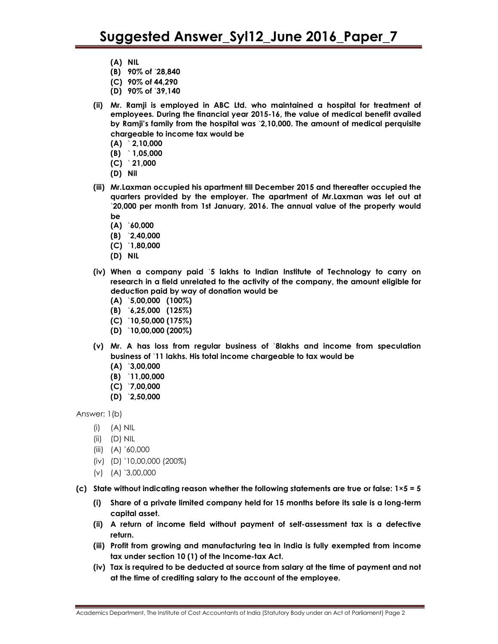- (A) NIL
- (B) 90% of `28,840
- (C) 90% of 44,290
- (D) 90% of `39,140
- (ii) Mr. Ramji is employed in ABC Ltd. who maintained a hospital for treatment of employees. During the financial year 2015-16, the value of medical benefit availed by Ramji's family from the hospital was `2,10,000. The amount of medical perquisite chargeable to income tax would be
	- $(A)$  2,10,000
	- (B) ` 1,05,000
	- $(C)$  21,000
	- (D) Nil
- (iii) Mr.Laxman occupied his apartment till December 2015 and thereafter occupied the quarters provided by the employer. The apartment of Mr.Laxman was let out at `20,000 per month from 1st January, 2016. The annual value of the property would be
	- (A) `60,000
	- (B) `2,40,000
	- (C) `1,80,000
	- (D) NIL
- (iv) When a company paid `5 lakhs to Indian Institute of Technology to carry on research in a field unrelated to the activity of the company, the amount eligible for deduction paid by way of donation would be
	- (A) `5,00,000 (100%)
	- (B) `6,25,000 (125%)
	- (C) `10,50,000 (175%)
	- (D) `10,00,000 (200%)
- (v) Mr. A has loss from regular business of `8lakhs and income from speculation business of `11 lakhs. His total income chargeable to tax would be
	- (A) `3,00,000
	- (B) `11,00,000
	- (C) `7,00,000
	- (D) `2,50,000

Answer: 1(b)

- (i) (A) NIL
- (ii) (D) NIL
- (iii) (A) `60,000
- (iv) (D) `10,00,000 (200%)
- (v)  $(A)$   $3,00,000$
- (c) State without indicating reason whether the following statements are true or false:  $1\times5 = 5$ 
	- (i) Share of a private limited company held for 15 months before its sale is a long-term capital asset.
	- (ii) A return of income field without payment of self-assessment tax is a defective return.
	- (iii) Profit from growing and manufacturing tea in India is fully exempted from income tax under section 10 (1) of the Income-tax Act.
	- (iv) Tax is required to be deducted at source from salary at the time of payment and not at the time of crediting salary to the account of the employee.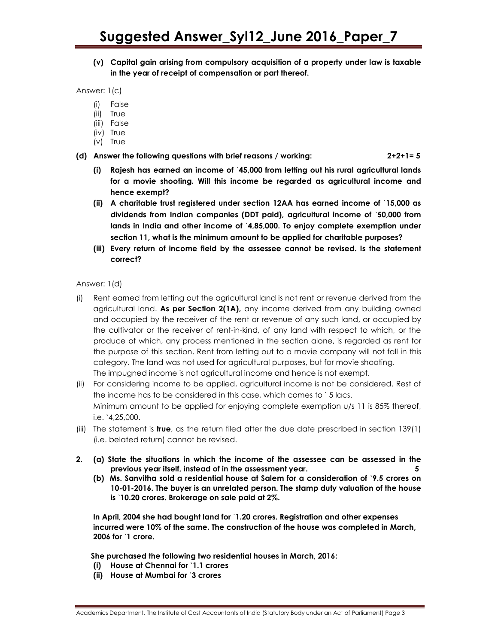(v) Capital gain arising from compulsory acquisition of a property under law is taxable in the year of receipt of compensation or part thereof.

Answer: 1(c)

- (i) False
- (ii) True
- (iii) False
- (iv) True
- (v) True

(d) Answer the following questions with brief reasons / working: 2+2+1= 5

- (i) Rajesh has earned an income of `45,000 from letting out his rural agricultural lands for a movie shooting. Will this income be regarded as agricultural income and hence exempt?
- (ii) A charitable trust registered under section 12AA has earned income of `15,000 as dividends from Indian companies (DDT paid), agricultural income of `50,000 from lands in India and other income of `4,85,000. To enjoy complete exemption under section 11, what is the minimum amount to be applied for charitable purposes?
- (iii) Every return of income field by the assessee cannot be revised. Is the statement correct?

Answer: 1(d)

- (i) Rent earned from letting out the agricultural land is not rent or revenue derived from the agricultural land. As per Section 2(1A), any income derived from any building owned and occupied by the receiver of the rent or revenue of any such land, or occupied by the cultivator or the receiver of rent-in-kind, of any land with respect to which, or the produce of which, any process mentioned in the section alone, is regarded as rent for the purpose of this section. Rent from letting out to a movie company will not fall in this category. The land was not used for agricultural purposes, but for movie shooting. The impugned income is not agricultural income and hence is not exempt.
- (ii) For considering income to be applied, agricultural income is not be considered. Rest of the income has to be considered in this case, which comes to ` 5 lacs. Minimum amount to be applied for enjoying complete exemption u/s 11 is 85% thereof, i.e. `4,25,000.
- (iii) The statement is **true**, as the return filed after the due date prescribed in section  $139(1)$ (i.e. belated return) cannot be revised.
- 2. (a) State the situations in which the income of the assessee can be assessed in the previous year itself, instead of in the assessment year. 5
	- (b) Ms. Sanvitha sold a residential house at Salem for a consideration of `9.5 crores on 10-01-2016. The buyer is an unrelated person. The stamp duty valuation of the house is `10.20 crores. Brokerage on sale paid at 2%.

 In April, 2004 she had bought land for `1.20 crores. Registration and other expenses incurred were 10% of the same. The construction of the house was completed in March, 2006 for `1 crore.

She purchased the following two residential houses in March, 2016:

- (i) House at Chennai for `1.1 crores
- (ii) House at Mumbai for `3 crores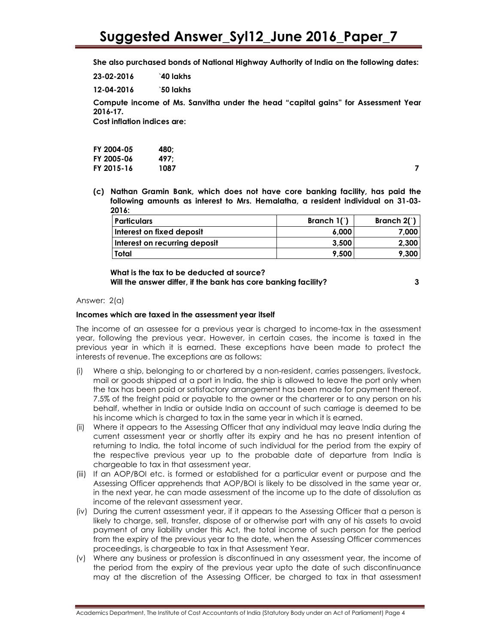She also purchased bonds of National Highway Authority of India on the following dates:

23-02-2016 `40 lakhs

12-04-2016 `50 lakhs

Compute income of Ms. Sanvitha under the head "capital gains" for Assessment Year 2016**-17.** 

Cost inflation indices are:

| FY 2004-05 | 480: |  |
|------------|------|--|
| FY 2005-06 | 497: |  |
| FY 2015-16 | 1087 |  |

(c) Nathan Gramin Bank, which does not have core banking facility, has paid the following amounts as interest to Mrs. Hemalatha, a resident individual on 31-03- 2016:

| Particulars                   | Branch $1()$ | Branch $2()$ |
|-------------------------------|--------------|--------------|
| Interest on fixed deposit     | 6.000        | 7.000        |
| Interest on recurring deposit | 3,500        | 2.300        |
| Total                         | 9.500        | 9,300        |

 What is the tax to be deducted at source? Will the answer differ, if the bank has core banking facility? 3

#### Answer: 2(a)

#### Incomes which are taxed in the assessment year itself

The income of an assessee for a previous year is charged to income-tax in the assessment year, following the previous year. However, in certain cases, the income is taxed in the previous year in which it is earned. These exceptions have been made to protect the interests of revenue. The exceptions are as follows:

- (i) Where a ship, belonging to or chartered by a non-resident, carries passengers, livestock, mail or goods shipped at a port in India, the ship is allowed to leave the port only when the tax has been paid or satisfactory arrangement has been made for payment thereof. 7.5% of the freight paid or payable to the owner or the charterer or to any person on his behalf, whether in India or outside India on account of such carriage is deemed to be his income which is charged to tax in the same year in which it is earned.
- (ii) Where it appears to the Assessing Officer that any individual may leave India during the current assessment year or shortly after its expiry and he has no present intention of returning to India, the total income of such individual for the period from the expiry of the respective previous year up to the probable date of departure from India is chargeable to tax in that assessment year.
- (iii) If an AOP/BOI etc. is formed or established for a particular event or purpose and the Assessing Officer apprehends that AOP/BOI is likely to be dissolved in the same year or, in the next year, he can made assessment of the income up to the date of dissolution as income of the relevant assessment year.
- (iv) During the current assessment year, if it appears to the Assessing Officer that a person is likely to charge, sell, transfer, dispose of or otherwise part with any of his assets to avoid payment of any liability under this Act, the total income of such person for the period from the expiry of the previous year to the date, when the Assessing Officer commences proceedings, is chargeable to tax in that Assessment Year.
- (v) Where any business or profession is discontinued in any assessment year, the income of the period from the expiry of the previous year upto the date of such discontinuance may at the discretion of the Assessing Officer, be charged to tax in that assessment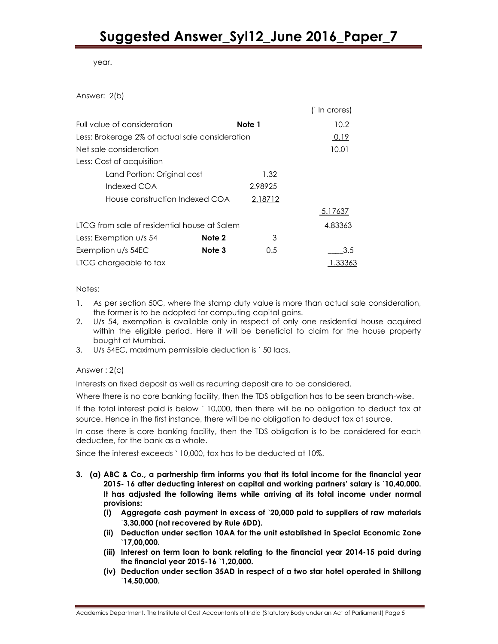year.

Answer: 2(b)

|                                                 |        |         | (`In crores) |
|-------------------------------------------------|--------|---------|--------------|
| Full value of consideration                     |        | Note 1  | 10.2         |
| Less: Brokerage 2% of actual sale consideration |        |         | 0.19         |
| Net sale consideration                          |        |         | 10.01        |
| Less: Cost of acquisition                       |        |         |              |
| Land Portion: Original cost                     |        | 1.32    |              |
| Indexed COA                                     |        | 2.98925 |              |
| House construction Indexed COA                  |        | 2.18712 |              |
|                                                 |        |         | 5.17637      |
| LTCG from sale of residential house at Salem    |        |         | 4.83363      |
| Less: Exemption $u/s$ 54                        | Note 2 | 3       |              |
| Exemption $U/s$ 54EC                            | Note 3 | 0.5     | 3.5          |
| LTCG chargeable to tax                          |        |         | 1.33363      |

### Notes:

- 1. As per section 50C, where the stamp duty value is more than actual sale consideration, the former is to be adopted for computing capital gains.
- 2. U/s 54, exemption is available only in respect of only one residential house acquired within the eligible period. Here it will be beneficial to claim for the house property bought at Mumbai.
- 3. U/s 54EC, maximum permissible deduction is ` 50 lacs.

# Answer : 2(c)

Interests on fixed deposit as well as recurring deposit are to be considered.

Where there is no core banking facility, then the TDS obligation has to be seen branch-wise.

If the total interest paid is below ` 10,000, then there will be no obligation to deduct tax at source. Hence in the first instance, there will be no obligation to deduct tax at source.

In case there is core banking facility, then the TDS obligation is to be considered for each deductee, for the bank as a whole.

Since the interest exceeds ` 10,000, tax has to be deducted at 10%.

- 3. (a) ABC & Co., a partnership firm informs you that its total income for the financial year 2015- 16 after deducting interest on capital and working partners' salary is `10,40,000. It has adjusted the following items while arriving at its total income under normal provisions:
	- (i) Aggregate cash payment in excess of `20,000 paid to suppliers of raw materials `3,30,000 (not recovered by Rule 6DD).
	- (ii) Deduction under section 10AA for the unit established in Special Economic Zone `17,00,000.
	- (iii) Interest on term loan to bank relating to the financial year 2014-15 paid during the financial year 2015-16 `1,20,000.
	- (iv) Deduction under section 35AD in respect of a two star hotel operated in Shillong `14,50,000.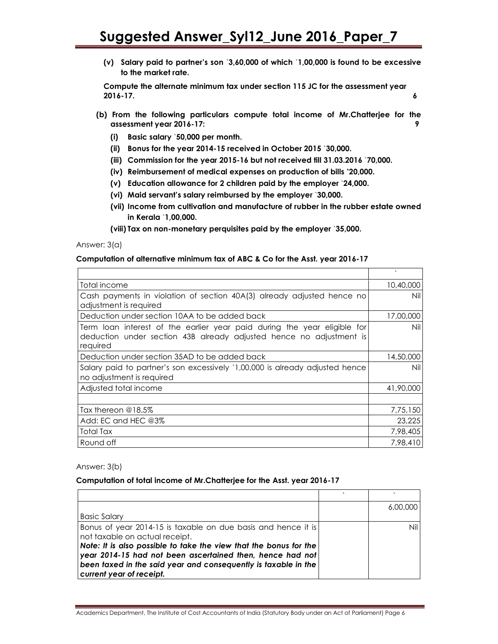(v) Salary paid to partner's son `3,60,000 of which `1,00,000 is found to be excessive to the market rate.

Compute the alternate minimum tax under section 115 JC for the assessment year 2016-17. 6

- (b) From the following particulars compute total income of Mr.Chatterjee for the assessment year 2016-17: 9
	- (i) Basic salary `50,000 per month.
	- (ii) Bonus for the year 2014-15 received in October 2015 `30,000.
	- (iii) Commission for the year 2015-16 but not received till 31.03.2016 `70,000.
	- (iv) Reimbursement of medical expenses on production of bills `20,000.
	- (v) Education allowance for 2 children paid by the employer `24,000.
	- (vi) Maid servant's salary reimbursed by the employer `30,000.
	- (vii) Income from cultivation and manufacture of rubber in the rubber estate owned in Kerala `1,00,000.
	- (viii) Tax on non-monetary perquisites paid by the employer `35,000.

Answer: 3(a)

#### Computation of alternative minimum tax of ABC & Co for the Asst. year 2016-17

|                                                                                                                                                             | $\lambda$ |
|-------------------------------------------------------------------------------------------------------------------------------------------------------------|-----------|
| Total income                                                                                                                                                | 10,40,000 |
| Cash payments in violation of section 40A(3) already adjusted hence no<br>adjustment is required                                                            | Nil       |
| Deduction under section 10AA to be added back                                                                                                               | 17,00,000 |
| Term loan interest of the earlier year paid during the year eligible for<br>deduction under section 43B already adjusted hence no adjustment is<br>required | Nil       |
| Deduction under section 35AD to be added back                                                                                                               | 14,50,000 |
| Salary paid to partner's son excessively '1,00,000 is already adjusted hence<br>no adjustment is required                                                   | Nil       |
| Adjusted total income                                                                                                                                       | 41,90,000 |
| Tax thereon $@18.5\%$                                                                                                                                       | 7,75,150  |
| Add: EC and HEC @3%                                                                                                                                         | 23,225    |
| Total Tax                                                                                                                                                   | 7,98,405  |
| Round off                                                                                                                                                   | 7,98,410  |

#### Answer: 3(b)

#### Computation of total income of Mr.Chatterjee for the Asst. year 2016-17

|                                                                                                 | 6,00,000 |
|-------------------------------------------------------------------------------------------------|----------|
| <b>Basic Salary</b>                                                                             |          |
| Bonus of year 2014-15 is taxable on due basis and hence it is<br>not taxable on actual receipt. | Nil      |
| Note: It is also possible to take the view that the bonus for the                               |          |
| year 2014-15 had not been ascertained then, hence had not                                       |          |
| been taxed in the said year and consequently is taxable in the<br>current year of receipt.      |          |
|                                                                                                 |          |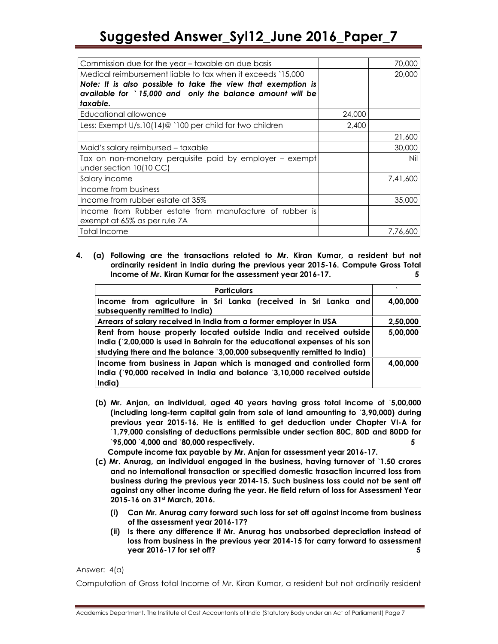# Suggested Answer\_Syl12\_June 2016\_Paper\_7

| Commission due for the year - taxable on due basis                                                                                    |        | 70,000   |
|---------------------------------------------------------------------------------------------------------------------------------------|--------|----------|
| Medical reimbursement liable to tax when it exceeds `15,000                                                                           |        | 20,000   |
| Note: It is also possible to take the view that exemption is<br>available for `15,000 and only the balance amount will be<br>taxable. |        |          |
| Educational allowance                                                                                                                 | 24,000 |          |
| Less: Exempt U/s.10(14)@ `100 per child for two children                                                                              | 2,400  |          |
|                                                                                                                                       |        | 21,600   |
| Maid's salary reimbursed – taxable                                                                                                    |        | 30,000   |
| Tax on non-monetary perquisite paid by employer – exempt<br>under section 10(10 CC)                                                   |        | Nil      |
| Salary income                                                                                                                         |        | 7,41,600 |
| Income from business                                                                                                                  |        |          |
| Income from rubber estate at 35%                                                                                                      |        | 35,000   |
| Income from Rubber estate from manufacture of rubber is<br>exempt at 65% as per rule 7A                                               |        |          |
| Total Income                                                                                                                          |        | 7,76,600 |

4. (a) Following are the transactions related to Mr. Kiran Kumar, a resident but not ordinarily resident in India during the previous year 2015-16. Compute Gross Total Income of Mr. Kiran Kumar for the assessment year 2016-17. 5

| <b>Particulars</b>                                                                                                                                                                                                            |          |
|-------------------------------------------------------------------------------------------------------------------------------------------------------------------------------------------------------------------------------|----------|
| Income from agriculture in Sri Lanka (received in Sri Lanka and<br>subsequently remitted to India)                                                                                                                            | 4,00,000 |
| Arrears of salary received in India from a former employer in USA                                                                                                                                                             | 2,50,000 |
| Rent from house property located outside India and received outside<br>India (2,00,000 is used in Bahrain for the educational expenses of his son<br>studying there and the balance `3,00,000 subsequently remitted to India) | 5,00,000 |
| Income from business in Japan which is managed and controlled form<br>India (`90,000 received in India and balance `3,10,000 received outside<br>India)                                                                       | 4,00,000 |

 (b) Mr. Anjan, an individual, aged 40 years having gross total income of `5,00,000 (including long-term capital gain from sale of land amounting to `3,90,000) during previous year 2015-16. He is entitled to get deduction under Chapter VI-A for `1,79,000 consisting of deductions permissible under section 80C, 80D and 80DD for `95,000 `4,000 and `80,000 respectively. 5

Compute income tax payable by Mr. Anjan for assessment year 2016-17.

- (c) Mr. Anurag, an individual engaged in the business, having turnover of `1.50 crores and no international transaction or specified domestic trasaction incurred loss from business during the previous year 2014-15. Such business loss could not be sent off against any other income during the year. He field return of loss for Assessment Year 2015-16 on 31st March, 2016.
	- (i) Can Mr. Anurag carry forward such loss for set off against income from business of the assessment year 2016-17?
	- (ii) Is there any difference if Mr. Anurag has unabsorbed depreciation instead of loss from business in the previous year 2014-15 for carry forward to assessment year 2016-17 for set off? 5

Answer: 4(a)

Computation of Gross total Income of Mr. Kiran Kumar, a resident but not ordinarily resident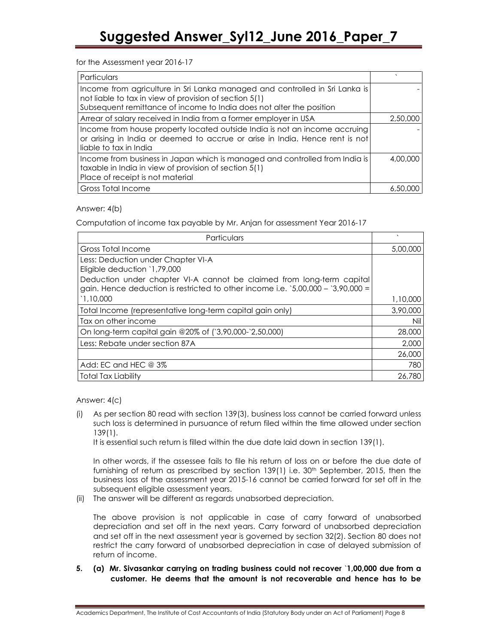for the Assessment year 2016-17

| Particulars                                                                                                                                                                                                   |          |
|---------------------------------------------------------------------------------------------------------------------------------------------------------------------------------------------------------------|----------|
| Income from agriculture in Sri Lanka managed and controlled in Sri Lanka is<br>not liable to tax in view of provision of section 5(1)<br>Subsequent remittance of income to India does not alter the position |          |
| Arrear of salary received in India from a former employer in USA                                                                                                                                              | 2,50,000 |
| Income from house property located outside India is not an income accruing<br>or arising in India or deemed to accrue or arise in India. Hence rent is not<br>liable to tax in India                          |          |
| Income from business in Japan which is managed and controlled from India is<br>taxable in India in view of provision of section 5(1)<br>Place of receipt is not material                                      |          |
| Gross Total Income                                                                                                                                                                                            |          |

Answer: 4(b)

Computation of income tax payable by Mr. Anjan for assessment Year 2016-17

| Particulars                                                                                                                                                                                                                       |          |
|-----------------------------------------------------------------------------------------------------------------------------------------------------------------------------------------------------------------------------------|----------|
| Gross Total Income                                                                                                                                                                                                                | 5,00,000 |
| Less: Deduction under Chapter VI-A<br>Eligible deduction `1,79,000<br>Deduction under chapter VI-A cannot be claimed from long-term capital<br>gain. Hence deduction is restricted to other income i.e. $5,00,000 - 3,90,000 = 0$ |          |
| 1.10,000                                                                                                                                                                                                                          | 1,10,000 |
| Total Income (representative long-term capital gain only)                                                                                                                                                                         | 3,90,000 |
| Tax on other income                                                                                                                                                                                                               | Nil      |
| On long-term capital gain @20% of (`3,90,000-`2,50,000)                                                                                                                                                                           | 28,000   |
| Less: Rebate under section 87A                                                                                                                                                                                                    | 2,000    |
|                                                                                                                                                                                                                                   | 26,000   |
| Add: EC and HEC @ 3%                                                                                                                                                                                                              | 780      |
| Total Tax Liability                                                                                                                                                                                                               | 26,780   |

Answer: 4(c)

(i) As per section 80 read with section 139(3), business loss cannot be carried forward unless such loss is determined in pursuance of return filed within the time allowed under section 139(1).

It is essential such return is filled within the due date laid down in section 139(1).

In other words, if the assessee fails to file his return of loss on or before the due date of furnishing of return as prescribed by section  $139(1)$  i.e.  $30<sup>th</sup>$  September, 2015, then the business loss of the assessment year 2015-16 cannot be carried forward for set off in the subsequent eligible assessment years.

(ii) The answer will be different as regards unabsorbed depreciation.

The above provision is not applicable in case of carry forward of unabsorbed depreciation and set off in the next years. Carry forward of unabsorbed depreciation and set off in the next assessment year is governed by section 32(2). Section 80 does not restrict the carry forward of unabsorbed depreciation in case of delayed submission of return of income.

5. (a) Mr. Sivasankar carrying on trading business could not recover `1,00,000 due from a customer. He deems that the amount is not recoverable and hence has to be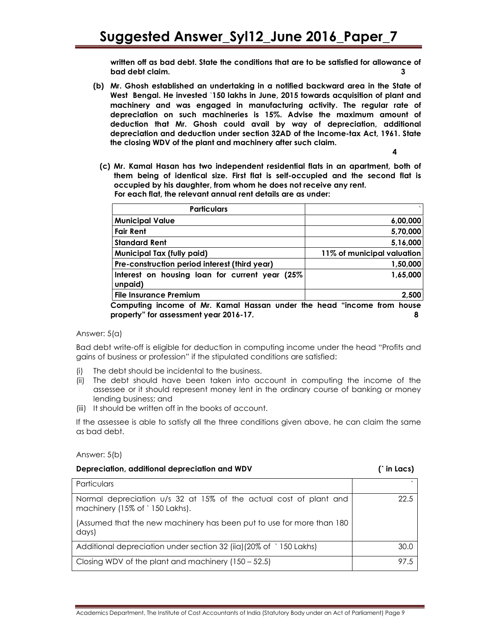written off as bad debt. State the conditions that are to be satisfied for allowance of bad debt claim. 3

(b) Mr. Ghosh established an undertaking in a notified backward area in the State of West Bengal. He invested `150 lakhs in June, 2015 towards acquisition of plant and machinery and was engaged in manufacturing activity. The regular rate of depreciation on such machineries is 15%. Advise the maximum amount of deduction that Mr. Ghosh could avail by way of depreciation, additional depreciation and deduction under section 32AD of the Income-tax Act, 1961. State the closing WDV of the plant and machinery after such claim.

4

 (c) Mr. Kamal Hasan has two independent residential flats in an apartment, both of them being of identical size. First flat is self-occupied and the second flat is occupied by his daughter, from whom he does not receive any rent. For each flat, the relevant annual rent details are as under:

| <b>Particulars</b>                                                     |                            |
|------------------------------------------------------------------------|----------------------------|
| <b>Municipal Value</b>                                                 | 6,00,000                   |
| l Fair Rent                                                            | 5,70,000                   |
| Standard Rent                                                          | 5,16,000                   |
| <b>Municipal Tax (fully paid)</b>                                      | 11% of municipal valuation |
| Pre-construction period interest (third year)                          | 1,50,000                   |
| Interest on housing loan for current year (25%<br>unpaid)              | 1,65,000                   |
| <b>File Insurance Premium</b>                                          | 2,500                      |
| Computing income of Mr. Kamal Hassan under the head "income from house |                            |

property" for assessment year 2016-17. 8

Answer: 5(a)

Bad debt write-off is eligible for deduction in computing income under the head "Profits and gains of business or profession" if the stipulated conditions are satisfied:

- (i) The debt should be incidental to the business.
- (ii) The debt should have been taken into account in computing the income of the assessee or it should represent money lent in the ordinary course of banking or money lending business; and
- (iii) It should be written off in the books of account.

If the assessee is able to satisfy all the three conditions given above, he can claim the same as bad debt.

Answer: 5(b)

| <u>Depreciation, additional depreciation dria wey</u>                                               | III LUCS) |
|-----------------------------------------------------------------------------------------------------|-----------|
| Particulars                                                                                         |           |
| Normal depreciation u/s 32 at 15% of the actual cost of plant and<br>machinery (15% of `150 Lakhs). | 22.5      |
| (Assumed that the new machinery has been put to use for more than 180)<br>days)                     |           |
| Additional depreciation under section 32 (iia)(20% of `150 Lakhs)                                   | 30.0      |
| Closing WDV of the plant and machinery (150 – 52.5)                                                 | 97.5      |

Depreciation, additional depreciation and WDV (` in Lacs)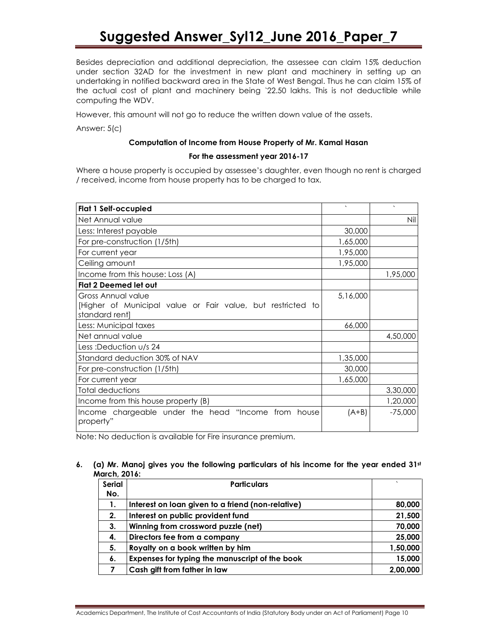# Suggested Answer\_Syl12\_June 2016\_Paper\_7

Besides depreciation and additional depreciation, the assessee can claim 15% deduction under section 32AD for the investment in new plant and machinery in setting up an undertaking in notified backward area in the State of West Bengal. Thus he can claim 15% of the actual cost of plant and machinery being `22.50 lakhs. This is not deductible while computing the WDV.

However, this amount will not go to reduce the written down value of the assets.

Answer: 5(c)

### Computation of Income from House Property of Mr. Kamal Hasan

#### For the assessment year 2016-17

Where a house property is occupied by assessee's daughter, even though no rent is charged / received, income from house property has to be charged to tax.

| Flat 1 Self-occupied                                             | $\sqrt{2}$ | $\sqrt{2}$ |
|------------------------------------------------------------------|------------|------------|
| Net Annual value                                                 |            | Nil        |
| Less: Interest payable                                           | 30,000     |            |
| For pre-construction (1/5th)                                     | 1,65,000   |            |
| For current year                                                 | 1,95,000   |            |
| Ceiling amount                                                   | 1,95,000   |            |
| Income from this house: Loss (A)                                 |            | 1,95,000   |
| <b>Flat 2 Deemed let out</b>                                     |            |            |
| Gross Annual value                                               | 5,16,000   |            |
| Higher of Municipal value or Fair value, but restricted to       |            |            |
| standard rent]                                                   |            |            |
| Less: Municipal taxes                                            | 66,000     |            |
| Net annual value                                                 |            | 4,50,000   |
| Less: Deduction u/s 24                                           |            |            |
| Standard deduction 30% of NAV                                    | 1,35,000   |            |
| For pre-construction (1/5th)                                     | 30,000     |            |
| For current year                                                 | 1,65,000   |            |
| <b>Total deductions</b>                                          |            | 3,30,000   |
| Income from this house property (B)                              |            | 1,20,000   |
| Income chargeable under the head "Income from house<br>property" | (A+B)      | $-75,000$  |

Note: No deduction is available for Fire insurance premium.

#### 6. (a) Mr. Manoj gives you the following particulars of his income for the year ended  $31<sup>st</sup>$ March, 2016:

| <b>Serial</b><br>No. | <b>Particulars</b>                                |          |
|----------------------|---------------------------------------------------|----------|
| 1.                   | Interest on loan given to a friend (non-relative) | 80,000   |
| 2.                   | Interest on public provident fund                 | 21,500   |
| 3.                   | Winning from crossword puzzle (net)               | 70,000   |
| 4.                   | Directors fee from a company                      | 25,000   |
| 5.                   | Royalty on a book written by him                  | 1,50,000 |
| 6.                   | Expenses for typing the manuscript of the book    | 15,000   |
|                      | Cash gift from father in law                      | 2,00,000 |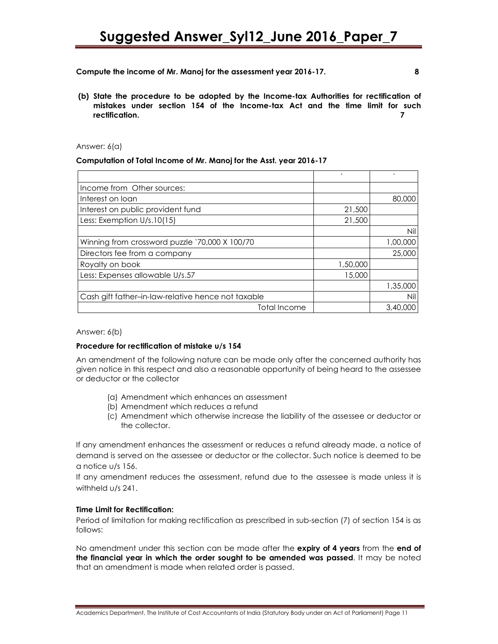Compute the income of Mr. Manoj for the assessment year 2016-17. 8

- 
- (b) State the procedure to be adopted by the Income-tax Authorities for rectification of mistakes under section 154 of the Income-tax Act and the time limit for such rectification. **7** *7*

#### Answer: 6(a)

## Computation of Total Income of Mr. Manoj for the Asst. year 2016-17

|                                                    | $\lambda$ |          |
|----------------------------------------------------|-----------|----------|
| Income from Other sources:                         |           |          |
| Interest on loan                                   |           | 80,000   |
| Interest on public provident fund                  | 21,500    |          |
| Less: Exemption U/s.10(15)                         | 21,500    |          |
|                                                    |           | Nil      |
| Winning from crossword puzzle `70,000 X 100/70     |           | 1,00,000 |
| Directors fee from a company                       |           | 25,000   |
| Royalty on book                                    | 1,50,000  |          |
| Less: Expenses allowable U/s.57                    | 15,000    |          |
|                                                    |           | 1,35,000 |
| Cash gift father-in-law-relative hence not taxable |           | Nil      |
| <b>Total Income</b>                                |           | 3,40,000 |

# Answer: 6(b)

#### Procedure for rectification of mistake u/s 154

An amendment of the following nature can be made only after the concerned authority has given notice in this respect and also a reasonable opportunity of being heard to the assessee or deductor or the collector

- (a) Amendment which enhances an assessment
- (b) Amendment which reduces a refund
- (c) Amendment which otherwise increase the liability of the assessee or deductor or the collector.

If any amendment enhances the assessment or reduces a refund already made, a notice of demand is served on the assessee or deductor or the collector. Such notice is deemed to be a notice u/s 156.

If any amendment reduces the assessment, refund due to the assessee is made unless it is withheld u/s 241.

# Time Limit for Rectification:

Period of limitation for making rectification as prescribed in sub-section (7) of section 154 is as follows:

No amendment under this section can be made after the expiry of 4 years from the end of the financial year in which the order sought to be amended was passed. It may be noted that an amendment is made when related order is passed.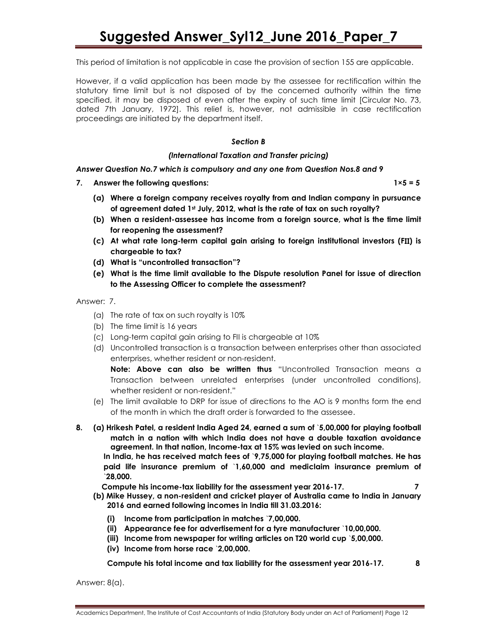This period of limitation is not applicable in case the provision of section 155 are applicable.

However, if a valid application has been made by the assessee for rectification within the statutory time limit but is not disposed of by the concerned authority within the time specified, it may be disposed of even after the expiry of such time limit [Circular No. 73, dated 7th January, 1972]. This relief is, however, not admissible in case rectification proceedings are initiated by the department itself.

## Section B

#### (International Taxation and Transfer pricing)

Answer Question No.7 which is compulsory and any one from Question Nos.8 and 9

7. Answer the following questions: 1×5 = 5

- (a) Where a foreign company receives royalty from and Indian company in pursuance of agreement dated 1<sup>st</sup> July, 2012, what is the rate of tax on such royalty?
- (b) When a resident-assessee has income from a foreign source, what is the time limit for reopening the assessment?
- (c) At what rate long-term capital gain arising to foreign institutional investors (FΙΙ) is chargeable to tax?
- (d) What is "uncontrolled transaction"?
- (e) What is the time limit available to the Dispute resolution Panel for issue of direction to the Assessing Officer to complete the assessment?

Answer: 7.

- (a) The rate of tax on such royalty is 10%
- (b) The time limit is 16 years
- (c) Long-term capital gain arising to FII is chargeable at 10%
- (d) Uncontrolled transaction is a transaction between enterprises other than associated enterprises, whether resident or non-resident.

Note: Above can also be written thus "Uncontrolled Transaction means a Transaction between unrelated enterprises (under uncontrolled conditions), whether resident or non-resident."

- (e) The limit available to DRP for issue of directions to the AO is 9 months form the end of the month in which the draft order is forwarded to the assessee.
- 8. (a) Hrikesh Patel, a resident India Aged 24, earned a sum of `5,00,000 for playing football match in a nation with which India does not have a double taxation avoidance agreement. In that nation, Income-tax at 15% was levied on such income.

In India, he has received match fees of `9,75,000 for playing football matches. He has paid life insurance premium of `1,60,000 and mediclaim insurance premium of `28,000.

Compute his income-tax liability for the assessment year 2016-17. 7

- (b) Mike Hussey, a non-resident and cricket player of Australia came to India in January 2016 and earned following incomes in India till 31.03.2016:
	- (i) Income from participation in matches `7,00,000.
	- (ii) Appearance fee for advertisement for a tyre manufacturer `10,00,000.
	- (iii) Income from newspaper for writing articles on T20 world cup `5,00,000.
	- (iv) Income from horse race `2,00,000.

Compute his total income and tax liability for the assessment year 2016-17. 8

Answer: 8(a).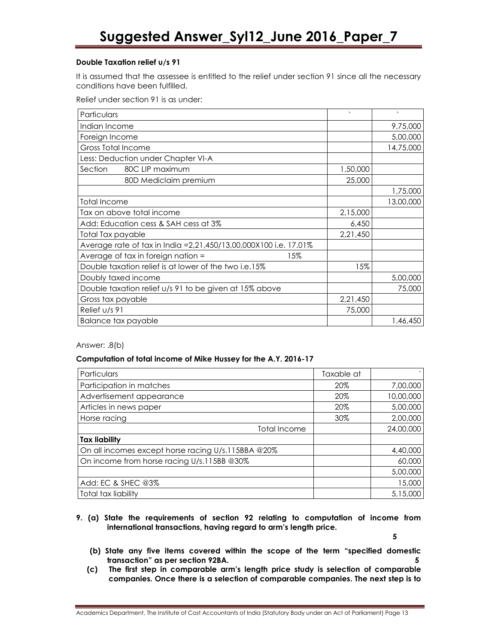### Double Taxation relief u/s 91

It is assumed that the assessee is entitled to the relief under section 91 since all the necessary conditions have been fulfilled.

Relief under section 91 is as under:

|          | $\sqrt{2}$ |
|----------|------------|
|          |            |
|          | 9,75,000   |
|          | 5,00,000   |
|          | 14,75,000  |
|          |            |
| 1,50,000 |            |
| 25,000   |            |
|          | 1,75,000   |
|          | 13,00,000  |
| 2,15,000 |            |
| 6,450    |            |
| 2,21,450 |            |
|          |            |
|          |            |
| 15%      |            |
|          | 5,00,000   |
|          | 75,000     |
| 2,21,450 |            |
| 75,000   |            |
|          | 1,46,450   |
|          | $\lambda$  |

#### Answer: .8(b)

#### Computation of total income of Mike Hussey for the A.Y. 2016-17

| Particulars                                        | Taxable at |           |
|----------------------------------------------------|------------|-----------|
| Participation in matches                           | 20%        | 7,00,000  |
| Advertisement appearance                           | 20%        | 10,00,000 |
| Articles in news paper                             | 20%        | 5,00,000  |
| Horse racing                                       | 30%        | 2,00,000  |
| <b>Total Income</b>                                |            | 24,00,000 |
| <b>Tax liability</b>                               |            |           |
| On all incomes except horse racing U/s.115BBA @20% |            | 4,40,000  |
| On income from horse racing U/s.115BB @30%         |            | 60,000    |
|                                                    |            | 5,00,000  |
| Add: EC & SHEC @3%                                 |            | 15,000    |
| Total tax liability                                |            | 5,15,000  |

9. (a) State the requirements of section 92 relating to computation of income from international transactions, having regard to arm's length price.

 $\sim$  5

- (b) State any five items covered within the scope of the term "specified domestic transaction" as per section 92BA. 5
- (c) The first step in comparable arm's length price study is selection of comparable companies. Once there is a selection of comparable companies. The next step is to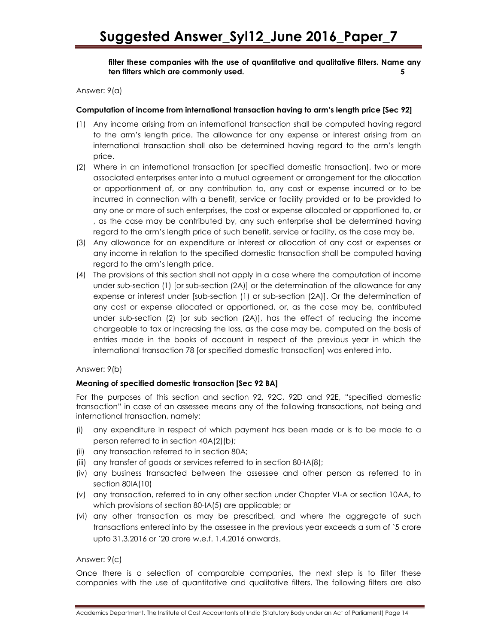filter these companies with the use of quantitative and qualitative filters. Name any ten filters which are commonly used. 5

Answer: 9(a)

# Computation of income from international transaction having to arm's length price [Sec 92]

- (1) Any income arising from an international transaction shall be computed having regard to the arm's length price. The allowance for any expense or interest arising from an international transaction shall also be determined having regard to the arm's length price.
- (2) Where in an international transaction [or specified domestic transaction], two or more associated enterprises enter into a mutual agreement or arrangement for the allocation or apportionment of, or any contribution to, any cost or expense incurred or to be incurred in connection with a benefit, service or facility provided or to be provided to any one or more of such enterprises, the cost or expense allocated or apportioned to, or , as the case may be contributed by, any such enterprise shall be determined having regard to the arm's length price of such benefit, service or facility, as the case may be.
- (3) Any allowance for an expenditure or interest or allocation of any cost or expenses or any income in relation to the specified domestic transaction shall be computed having regard to the arm's length price.
- (4) The provisions of this section shall not apply in a case where the computation of income under sub-section (1) [or sub-section (2A)] or the determination of the allowance for any expense or interest under [sub-section (1) or sub-section (2A)]. Or the determination of any cost or expense allocated or apportioned, or, as the case may be, contributed under sub-section (2) [or sub section (2A)], has the effect of reducing the income chargeable to tax or increasing the loss, as the case may be, computed on the basis of entries made in the books of account in respect of the previous year in which the international transaction 78 [or specified domestic transaction] was entered into.

# Answer: 9(b)

# Meaning of specified domestic transaction [Sec 92 BA]

For the purposes of this section and section 92, 92C, 92D and 92E, "specified domestic transaction" in case of an assessee means any of the following transactions, not being and international transaction, namely:

- (i) any expenditure in respect of which payment has been made or is to be made to a person referred to in section 40A(2)(b);
- (ii) any transaction referred to in section 80A;
- (iii) any transfer of goods or services referred to in section 80-IA(8);
- (iv) any business transacted between the assessee and other person as referred to in section 80IA(10)
- (v) any transaction, referred to in any other section under Chapter VI-A or section 10AA, to which provisions of section 80-IA(5) are applicable; or
- (vi) any other transaction as may be prescribed, and where the aggregate of such transactions entered into by the assessee in the previous year exceeds a sum of `5 crore upto 31.3.2016 or `20 crore w.e.f. 1.4.2016 onwards.

#### Answer: 9(c)

Once there is a selection of comparable companies, the next step is to filter these companies with the use of quantitative and qualitative filters. The following filters are also